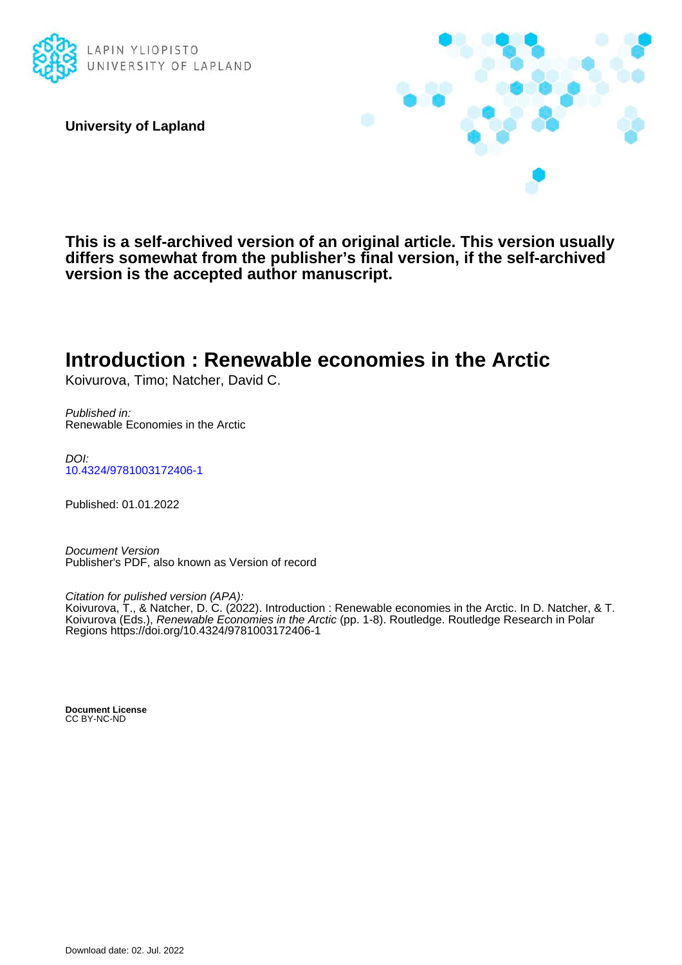

**University of Lapland**



**This is a self-archived version of an original article. This version usually differs somewhat from the publisher's final version, if the self-archived version is the accepted author manuscript.**

# **Introduction : Renewable economies in the Arctic**

Koivurova, Timo; Natcher, David C.

Published in: Renewable Economies in the Arctic

DOI: [10.4324/9781003172406-1](https://doi.org/10.4324/9781003172406-1)

Published: 01.01.2022

Document Version Publisher's PDF, also known as Version of record

Citation for pulished version (APA):

Koivurova, T., & Natcher, D. C. (2022). Introduction : Renewable economies in the Arctic. In D. Natcher, & T. Koivurova (Eds.), Renewable Economies in the Arctic (pp. 1-8). Routledge. Routledge Research in Polar Regions<https://doi.org/10.4324/9781003172406-1>

**Document License** CC BY-NC-ND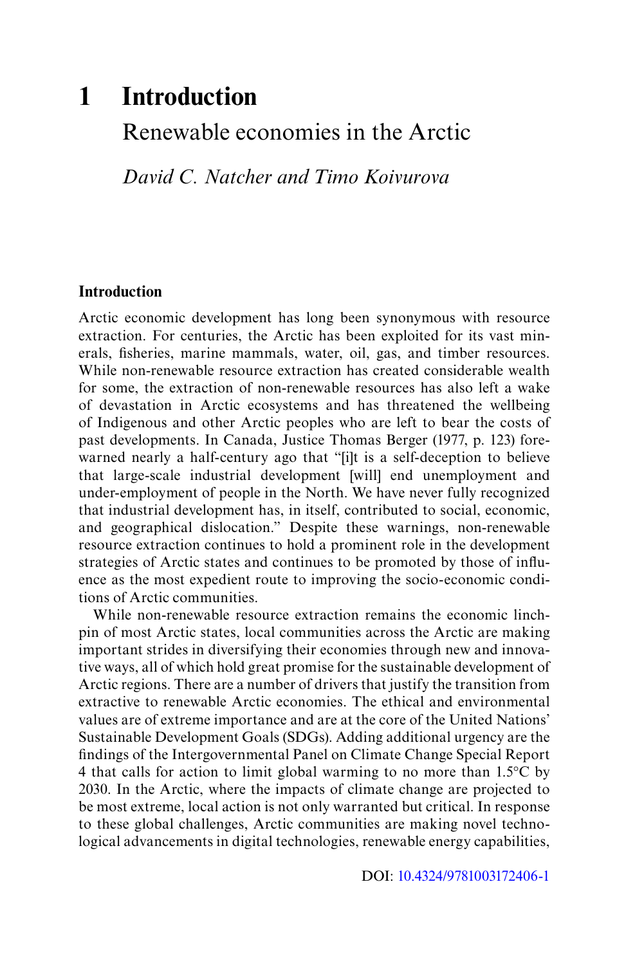## **1 Introduction**

## [Renewable economies in the Arctic](#page--1-0)

*David C. Natcher and Timo Koivurova*

#### **Introduction**

Arctic economic development has long been synonymous with resource extraction. For centuries, the Arctic has been exploited for its vast minerals, fisheries, marine mammals, water, oil, gas, and timber resources. While non-renewable resource extraction has created considerable wealth for some, the extraction of non-renewable resources has also left a wake of devastation in Arctic ecosystems and has threatened the wellbeing of Indigenous and other Arctic peoples who are left to bear the costs of past developments. In Canada, Justice Thomas Berger (1977, p. 123) forewarned nearly a half-century ago that "[i]t is a self-deception to believe that large-scale industrial development [will] end unemployment and under-employment of people in the North. We have never fully recognized that industrial development has, in itself, contributed to social, economic, and geographical dislocation." Despite these warnings, non-renewable resource extraction continues to hold a prominent role in the development strategies of Arctic states and continues to be promoted by those of influence as the most expedient route to improving the socio-economic conditions of Arctic communities.

While non-renewable resource extraction remains the economic linchpin of most Arctic states, local communities across the Arctic are making important strides in diversifying their economies through new and innovative ways, all of which hold great promise for the sustainable development of Arctic regions. There are a number of drivers that justify the transition from extractive to renewable Arctic economies. The ethical and environmental values are of extreme importance and are at the core of the United Nations' Sustainable Development Goals (SDGs). Adding additional urgency are the findings of the Intergovernmental Panel on Climate Change Special Report 4 that calls for action to limit global warming to no more than 1.5°C by 2030. In the Arctic, where the impacts of climate change are projected to be most extreme, local action is not only warranted but critical. In response to these global challenges, Arctic communities are making novel technological advancements in digital technologies, renewable energy capabilities,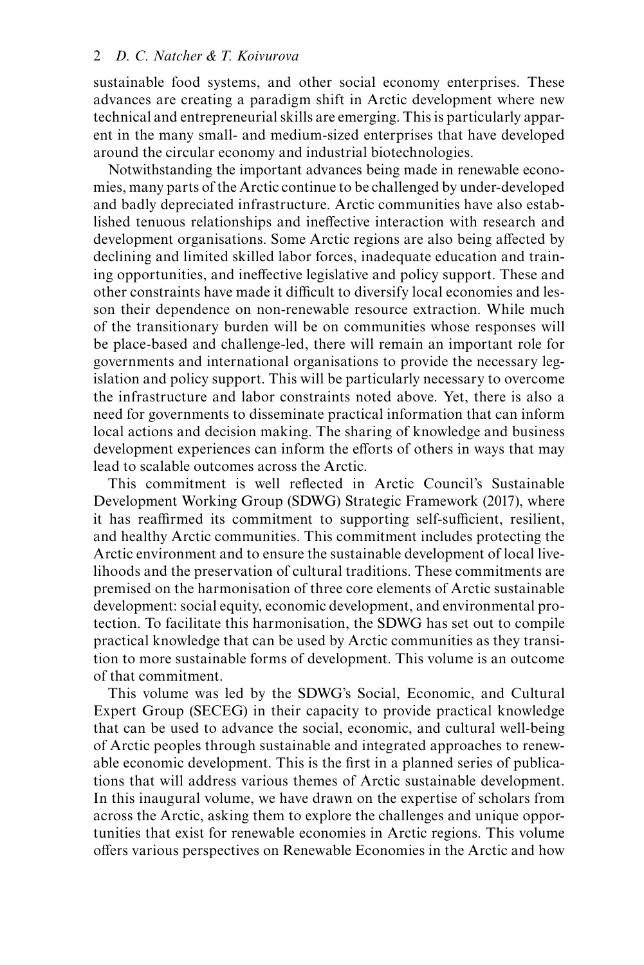#### 2 *D. C. Natcher & T. Koivurova*

sustainable food systems, and other social economy enterprises. These advances are creating a paradigm shift in Arctic development where new technical and entrepreneurial skills are emerging. This is particularly apparent in the many small- and medium-sized enterprises that have developed around the circular economy and industrial biotechnologies.

Notwithstanding the important advances being made in renewable economies, many parts of the Arctic continue to be challenged by under-developed and badly depreciated infrastructure. Arctic communities have also established tenuous relationships and ineffective interaction with research and development organisations. Some Arctic regions are also being affected by declining and limited skilled labor forces, inadequate education and training opportunities, and ineffective legislative and policy support. These and other constraints have made it difficult to diversify local economies and lesson their dependence on non-renewable resource extraction. While much of the transitionary burden will be on communities whose responses will be place-based and challenge-led, there will remain an important role for governments and international organisations to provide the necessary legislation and policy support. This will be particularly necessary to overcome the infrastructure and labor constraints noted above. Yet, there is also a need for governments to disseminate practical information that can inform local actions and decision making. The sharing of knowledge and business development experiences can inform the efforts of others in ways that may lead to scalable outcomes across the Arctic.

This commitment is well reflected in Arctic Council's Sustainable Development Working Group (SDWG) Strategic Framework (2017), where it has reaffirmed its commitment to supporting self-sufficient, resilient, and healthy Arctic communities. This commitment includes protecting the Arctic environment and to ensure the sustainable development of local livelihoods and the preservation of cultural traditions. These commitments are premised on the harmonisation of three core elements of Arctic sustainable development: social equity, economic development, and environmental protection. To facilitate this harmonisation, the SDWG has set out to compile practical knowledge that can be used by Arctic communities as they transition to more sustainable forms of development. This volume is an outcome of that commitment.

This volume was led by the SDWG's Social, Economic, and Cultural Expert Group (SECEG) in their capacity to provide practical knowledge that can be used to advance the social, economic, and cultural well-being of Arctic peoples through sustainable and integrated approaches to renewable economic development. This is the first in a planned series of publications that will address various themes of Arctic sustainable development. In this inaugural volume, we have drawn on the expertise of scholars from across the Arctic, asking them to explore the challenges and unique opportunities that exist for renewable economies in Arctic regions. This volume offers various perspectives on Renewable Economies in the Arctic and how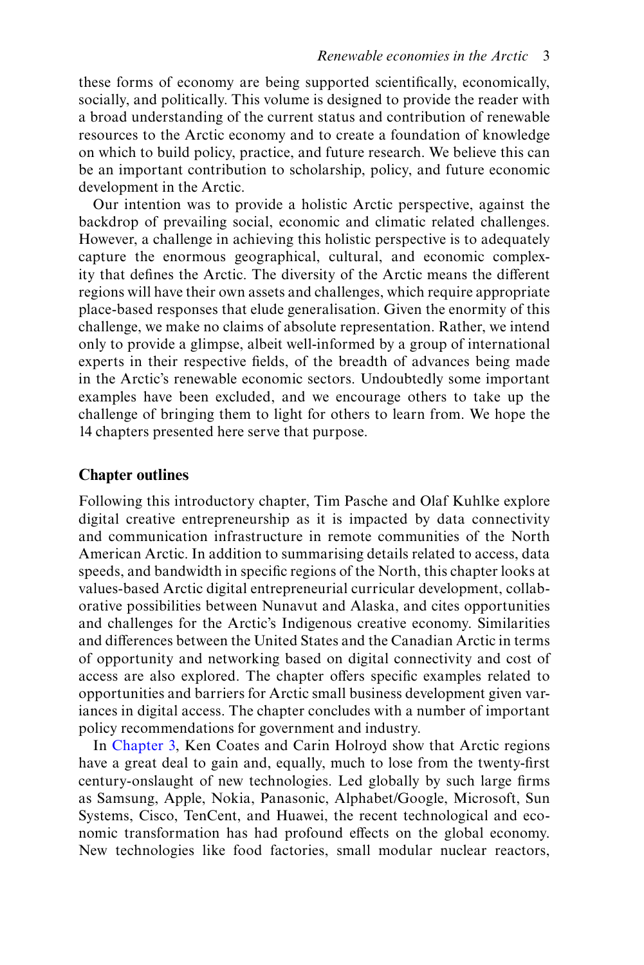these forms of economy are being supported scientifically, economically, socially, and politically. This volume is designed to provide the reader with a broad understanding of the current status and contribution of renewable resources to the Arctic economy and to create a foundation of knowledge on which to build policy, practice, and future research. We believe this can be an important contribution to scholarship, policy, and future economic development in the Arctic.

Our intention was to provide a holistic Arctic perspective, against the backdrop of prevailing social, economic and climatic related challenges. However, a challenge in achieving this holistic perspective is to adequately capture the enormous geographical, cultural, and economic complexity that defines the Arctic. The diversity of the Arctic means the different regions will have their own assets and challenges, which require appropriate place-based responses that elude generalisation. Given the enormity of this challenge, we make no claims of absolute representation. Rather, we intend only to provide a glimpse, albeit well-informed by a group of international experts in their respective fields, of the breadth of advances being made in the Arctic's renewable economic sectors. Undoubtedly some important examples have been excluded, and we encourage others to take up the challenge of bringing them to light for others to learn from. We hope the 14 chapters presented here serve that purpose.

#### **Chapter outlines**

Following this introductory chapter, Tim Pasche and Olaf Kuhlke explore digital creative entrepreneurship as it is impacted by data connectivity and communication infrastructure in remote communities of the North American Arctic. In addition to summarising details related to access, data speeds, and bandwidth in specific regions of the North, this chapter looks at values-based Arctic digital entrepreneurial curricular development, collaborative possibilities between Nunavut and Alaska, and cites opportunities and challenges for the Arctic's Indigenous creative economy. Similarities and differences between the United States and the Canadian Arctic in terms of opportunity and networking based on digital connectivity and cost of access are also explored. The chapter offers specific examples related to opportunities and barriers for Arctic small business development given variances in digital access. The chapter concludes with a number of important policy recommendations for government and industry.

In Chapter 3, Ken Coates and Carin Holroyd show that Arctic regions have a great deal to gain and, equally, much to lose from the twenty-first century-onslaught of new technologies. Led globally by such large firms as Samsung, Apple, Nokia, Panasonic, Alphabet/Google, Microsoft, Sun Systems, Cisco, TenCent, and Huawei, the recent technological and economic transformation has had profound effects on the global economy. New technologies like food factories, small modular nuclear reactors,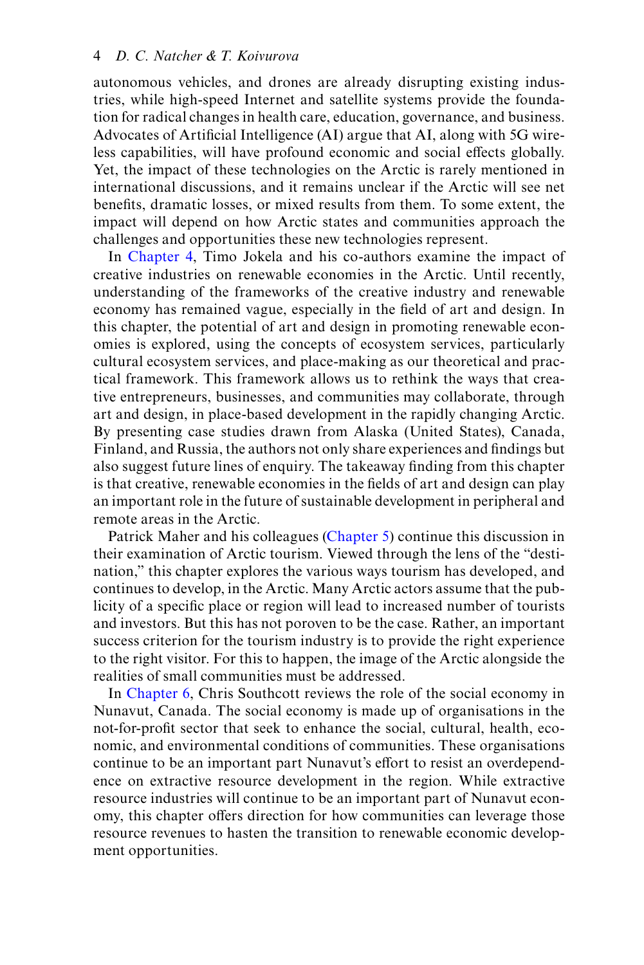autonomous vehicles, and drones are already disrupting existing industries, while high-speed Internet and satellite systems provide the foundation for radical changes in health care, education, governance, and business. Advocates of Artificial Intelligence (AI) argue that AI, along with 5G wireless capabilities, will have profound economic and social effects globally. Yet, the impact of these technologies on the Arctic is rarely mentioned in international discussions, and it remains unclear if the Arctic will see net benefits, dramatic losses, or mixed results from them. To some extent, the impact will depend on how Arctic states and communities approach the challenges and opportunities these new technologies represent.

In Chapter 4, Timo Jokela and his co-authors examine the impact of creative industries on renewable economies in the Arctic. Until recently, understanding of the frameworks of the creative industry and renewable economy has remained vague, especially in the field of art and design. In this chapter, the potential of art and design in promoting renewable economies is explored, using the concepts of ecosystem services, particularly cultural ecosystem services, and place-making as our theoretical and practical framework. This framework allows us to rethink the ways that creative entrepreneurs, businesses, and communities may collaborate, through art and design, in place-based development in the rapidly changing Arctic. By presenting case studies drawn from Alaska (United States), Canada, Finland, and Russia, the authors not only share experiences and findings but also suggest future lines of enquiry. The takeaway finding from this chapter is that creative, renewable economies in the fields of art and design can play an important role in the future of sustainable development in peripheral and remote areas in the Arctic.

Patrick Maher and his colleagues (Chapter 5) continue this discussion in their examination of Arctic tourism. Viewed through the lens of the "destination," this chapter explores the various ways tourism has developed, and continues to develop, in the Arctic. Many Arctic actors assume that the publicity of a specific place or region will lead to increased number of tourists and investors. But this has not poroven to be the case. Rather, an important success criterion for the tourism industry is to provide the right experience to the right visitor. For this to happen, the image of the Arctic alongside the realities of small communities must be addressed.

In Chapter 6, Chris Southcott reviews the role of the social economy in Nunavut, Canada. The social economy is made up of organisations in the not-for-profit sector that seek to enhance the social, cultural, health, economic, and environmental conditions of communities. These organisations continue to be an important part Nunavut's effort to resist an overdependence on extractive resource development in the region. While extractive resource industries will continue to be an important part of Nunavut economy, this chapter offers direction for how communities can leverage those resource revenues to hasten the transition to renewable economic development opportunities.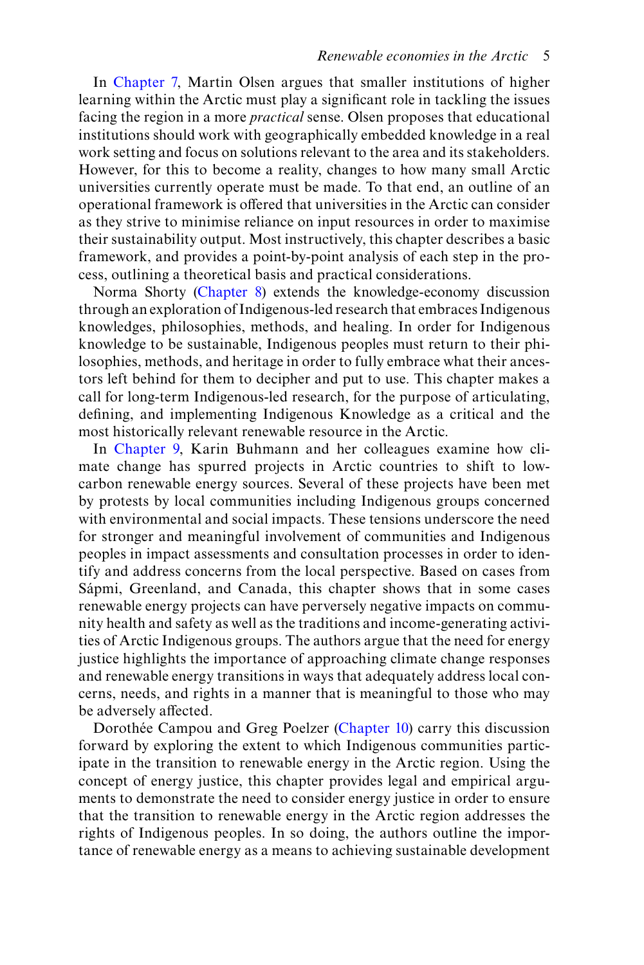In Chapter 7, Martin Olsen argues that smaller institutions of higher learning within the Arctic must play a significant role in tackling the issues facing the region in a more *practical* sense. Olsen proposes that educational institutions should work with geographically embedded knowledge in a real work setting and focus on solutions relevant to the area and its stakeholders. However, for this to become a reality, changes to how many small Arctic universities currently operate must be made. To that end, an outline of an operational framework is offered that universities in the Arctic can consider as they strive to minimise reliance on input resources in order to maximise their sustainability output. Most instructively, this chapter describes a basic framework, and provides a point-by-point analysis of each step in the process, outlining a theoretical basis and practical considerations.

Norma Shorty (Chapter 8) extends the knowledge-economy discussion through an exploration of Indigenous-led research that embraces Indigenous knowledges, philosophies, methods, and healing. In order for Indigenous knowledge to be sustainable, Indigenous peoples must return to their philosophies, methods, and heritage in order to fully embrace what their ancestors left behind for them to decipher and put to use. This chapter makes a call for long-term Indigenous-led research, for the purpose of articulating, defining, and implementing Indigenous Knowledge as a critical and the most historically relevant renewable resource in the Arctic.

In Chapter 9, Karin Buhmann and her colleagues examine how climate change has spurred projects in Arctic countries to shift to lowcarbon renewable energy sources. Several of these projects have been met by protests by local communities including Indigenous groups concerned with environmental and social impacts. These tensions underscore the need for stronger and meaningful involvement of communities and Indigenous peoples in impact assessments and consultation processes in order to identify and address concerns from the local perspective. Based on cases from Sápmi, Greenland, and Canada, this chapter shows that in some cases renewable energy projects can have perversely negative impacts on community health and safety as well as the traditions and income-generating activities of Arctic Indigenous groups. The authors argue that the need for energy justice highlights the importance of approaching climate change responses and renewable energy transitions in ways that adequately address local concerns, needs, and rights in a manner that is meaningful to those who may be adversely affected.

Dorothée Campou and Greg Poelzer (Chapter 10) carry this discussion forward by exploring the extent to which Indigenous communities participate in the transition to renewable energy in the Arctic region. Using the concept of energy justice, this chapter provides legal and empirical arguments to demonstrate the need to consider energy justice in order to ensure that the transition to renewable energy in the Arctic region addresses the rights of Indigenous peoples. In so doing, the authors outline the importance of renewable energy as a means to achieving sustainable development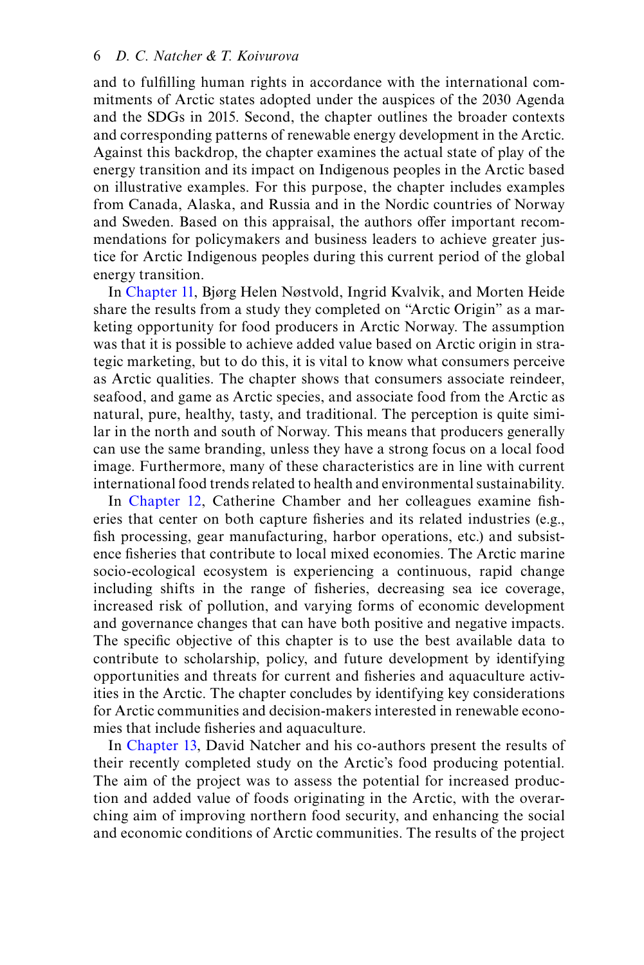and to fulfilling human rights in accordance with the international commitments of Arctic states adopted under the auspices of the 2030 Agenda and the SDGs in 2015. Second, the chapter outlines the broader contexts and corresponding patterns of renewable energy development in the Arctic. Against this backdrop, the chapter examines the actual state of play of the energy transition and its impact on Indigenous peoples in the Arctic based on illustrative examples. For this purpose, the chapter includes examples from Canada, Alaska, and Russia and in the Nordic countries of Norway and Sweden. Based on this appraisal, the authors offer important recommendations for policymakers and business leaders to achieve greater justice for Arctic Indigenous peoples during this current period of the global energy transition.

In [Chapter 11,](#page--1-0) Bjørg Helen Nøstvold, Ingrid Kvalvik, and Morten Heide share the results from a study they completed on "Arctic Origin" as a marketing opportunity for food producers in Arctic Norway. The assumption was that it is possible to achieve added value based on Arctic origin in strategic marketing, but to do this, it is vital to know what consumers perceive as Arctic qualities. The chapter shows that consumers associate reindeer, seafood, and game as Arctic species, and associate food from the Arctic as natural, pure, healthy, tasty, and traditional. The perception is quite similar in the north and south of Norway. This means that producers generally can use the same branding, unless they have a strong focus on a local food image. Furthermore, many of these characteristics are in line with current international food trends related to health and environmental sustainability.

In [Chapter 12,](#page--1-0) Catherine Chamber and her colleagues examine fisheries that center on both capture fisheries and its related industries (e.g., fish processing, gear manufacturing, harbor operations, etc.) and subsistence fisheries that contribute to local mixed economies. The Arctic marine socio-ecological ecosystem is experiencing a continuous, rapid change including shifts in the range of fisheries, decreasing sea ice coverage, increased risk of pollution, and varying forms of economic development and governance changes that can have both positive and negative impacts. The specific objective of this chapter is to use the best available data to contribute to scholarship, policy, and future development by identifying opportunities and threats for current and fisheries and aquaculture activities in the Arctic. The chapter concludes by identifying key considerations for Arctic communities and decision-makers interested in renewable economies that include fisheries and aquaculture.

In Chapter 13, David Natcher and his co-authors present the results of their recently completed study on the Arctic's food producing potential. The aim of the project was to assess the potential for increased production and added value of foods originating in the Arctic, with the overarching aim of improving northern food security, and enhancing the social and economic conditions of Arctic communities. The results of the project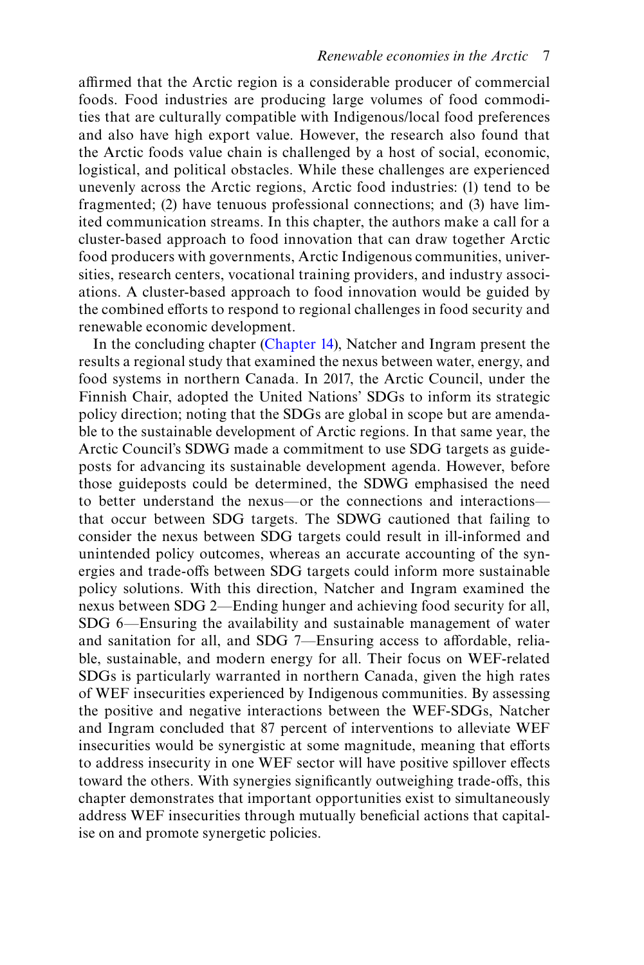affirmed that the Arctic region is a considerable producer of commercial foods. Food industries are producing large volumes of food commodities that are culturally compatible with Indigenous/local food preferences and also have high export value. However, the research also found that the Arctic foods value chain is challenged by a host of social, economic, logistical, and political obstacles. While these challenges are experienced unevenly across the Arctic regions, Arctic food industries: (1) tend to be fragmented; (2) have tenuous professional connections; and (3) have limited communication streams. In this chapter, the authors make a call for a cluster-based approach to food innovation that can draw together Arctic food producers with governments, Arctic Indigenous communities, universities, research centers, vocational training providers, and industry associations. A cluster-based approach to food innovation would be guided by the combined efforts to respond to regional challenges in food security and renewable economic development.

In the concluding chapter [\(Chapter 14\)](#page--1-0), Natcher and Ingram present the results a regional study that examined the nexus between water, energy, and food systems in northern Canada. In 2017, the Arctic Council, under the Finnish Chair, adopted the United Nations' SDGs to inform its strategic policy direction; noting that the SDGs are global in scope but are amendable to the sustainable development of Arctic regions. In that same year, the Arctic Council's SDWG made a commitment to use SDG targets as guideposts for advancing its sustainable development agenda. However, before those guideposts could be determined, the SDWG emphasised the need to better understand the nexus—or the connections and interactions that occur between SDG targets. The SDWG cautioned that failing to consider the nexus between SDG targets could result in ill-informed and unintended policy outcomes, whereas an accurate accounting of the synergies and trade-offs between SDG targets could inform more sustainable policy solutions. With this direction, Natcher and Ingram examined the nexus between SDG 2—Ending hunger and achieving food security for all, SDG 6—Ensuring the availability and sustainable management of water and sanitation for all, and SDG 7—Ensuring access to affordable, reliable, sustainable, and modern energy for all. Their focus on WEF-related SDGs is particularly warranted in northern Canada, given the high rates of WEF insecurities experienced by Indigenous communities. By assessing the positive and negative interactions between the WEF-SDGs, Natcher and Ingram concluded that 87 percent of interventions to alleviate WEF insecurities would be synergistic at some magnitude, meaning that efforts to address insecurity in one WEF sector will have positive spillover effects toward the others. With synergies significantly outweighing trade-offs, this chapter demonstrates that important opportunities exist to simultaneously address WEF insecurities through mutually beneficial actions that capitalise on and promote synergetic policies.